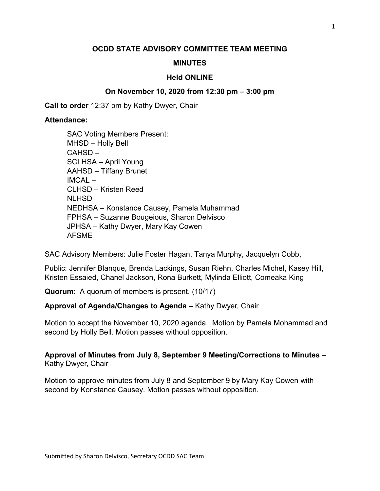## OCDD STATE ADVISORY COMMITTEE TEAM MEETING

## MINUTES

#### Held ONLINE

#### On November 10, 2020 from 12:30 pm – 3:00 pm

Call to order 12:37 pm by Kathy Dwyer, Chair

## Attendance:

SAC Voting Members Present: MHSD – Holly Bell CAHSD – SCLHSA – April Young AAHSD – Tiffany Brunet  $IMCAI -$ CLHSD – Kristen Reed NLHSD – NEDHSA – Konstance Causey, Pamela Muhammad FPHSA – Suzanne Bougeious, Sharon Delvisco JPHSA – Kathy Dwyer, Mary Kay Cowen AFSME –

SAC Advisory Members: Julie Foster Hagan, Tanya Murphy, Jacquelyn Cobb,

Public: Jennifer Blanque, Brenda Lackings, Susan Riehn, Charles Michel, Kasey Hill, Kristen Essaied, Chanel Jackson, Rona Burkett, Mylinda Elliott, Comeaka King

Quorum: A quorum of members is present. (10/17)

## Approval of Agenda/Changes to Agenda – Kathy Dwyer, Chair

Motion to accept the November 10, 2020 agenda. Motion by Pamela Mohammad and second by Holly Bell. Motion passes without opposition.

Approval of Minutes from July 8, September 9 Meeting/Corrections to Minutes – Kathy Dwyer, Chair

Motion to approve minutes from July 8 and September 9 by Mary Kay Cowen with second by Konstance Causey. Motion passes without opposition.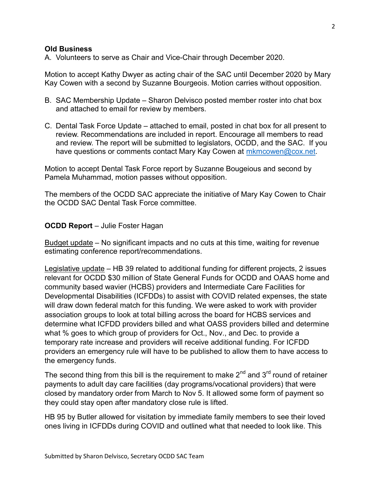## Old Business

A. Volunteers to serve as Chair and Vice-Chair through December 2020.

Motion to accept Kathy Dwyer as acting chair of the SAC until December 2020 by Mary Kay Cowen with a second by Suzanne Bourgeois. Motion carries without opposition.

- B. SAC Membership Update Sharon Delvisco posted member roster into chat box and attached to email for review by members.
- C. Dental Task Force Update attached to email, posted in chat box for all present to review. Recommendations are included in report. Encourage all members to read and review. The report will be submitted to legislators, OCDD, and the SAC. If you have questions or comments contact Mary Kay Cowen at mkmcowen@cox.net.

Motion to accept Dental Task Force report by Suzanne Bougeious and second by Pamela Muhammad, motion passes without opposition.

The members of the OCDD SAC appreciate the initiative of Mary Kay Cowen to Chair the OCDD SAC Dental Task Force committee.

## OCDD Report – Julie Foster Hagan

Budget update – No significant impacts and no cuts at this time, waiting for revenue estimating conference report/recommendations.

Legislative update – HB 39 related to additional funding for different projects, 2 issues relevant for OCDD \$30 million of State General Funds for OCDD and OAAS home and community based wavier (HCBS) providers and Intermediate Care Facilities for Developmental Disabilities (ICFDDs) to assist with COVID related expenses, the state will draw down federal match for this funding. We were asked to work with provider association groups to look at total billing across the board for HCBS services and determine what ICFDD providers billed and what OASS providers billed and determine what % goes to which group of providers for Oct., Nov., and Dec. to provide a temporary rate increase and providers will receive additional funding. For ICFDD providers an emergency rule will have to be published to allow them to have access to the emergency funds.

The second thing from this bill is the requirement to make  $2^{nd}$  and  $3^{rd}$  round of retainer payments to adult day care facilities (day programs/vocational providers) that were closed by mandatory order from March to Nov 5. It allowed some form of payment so they could stay open after mandatory close rule is lifted.

HB 95 by Butler allowed for visitation by immediate family members to see their loved ones living in ICFDDs during COVID and outlined what that needed to look like. This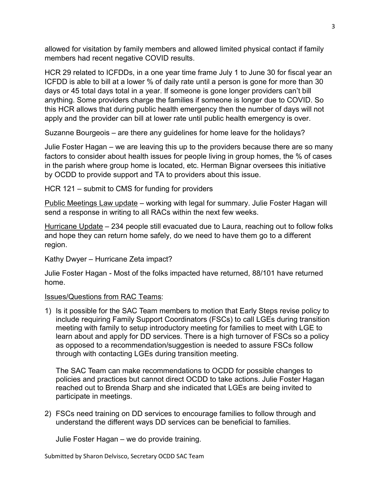allowed for visitation by family members and allowed limited physical contact if family members had recent negative COVID results.

HCR 29 related to ICFDDs, in a one year time frame July 1 to June 30 for fiscal year an ICFDD is able to bill at a lower % of daily rate until a person is gone for more than 30 days or 45 total days total in a year. If someone is gone longer providers can't bill anything. Some providers charge the families if someone is longer due to COVID. So this HCR allows that during public health emergency then the number of days will not apply and the provider can bill at lower rate until public health emergency is over.

Suzanne Bourgeois – are there any guidelines for home leave for the holidays?

Julie Foster Hagan – we are leaving this up to the providers because there are so many factors to consider about health issues for people living in group homes, the % of cases in the parish where group home is located, etc. Herman Bignar oversees this initiative by OCDD to provide support and TA to providers about this issue.

HCR 121 – submit to CMS for funding for providers

Public Meetings Law update – working with legal for summary. Julie Foster Hagan will send a response in writing to all RACs within the next few weeks.

Hurricane Update – 234 people still evacuated due to Laura, reaching out to follow folks and hope they can return home safely, do we need to have them go to a different region.

Kathy Dwyer – Hurricane Zeta impact?

Julie Foster Hagan - Most of the folks impacted have returned, 88/101 have returned home.

# Issues/Questions from RAC Teams:

1) Is it possible for the SAC Team members to motion that Early Steps revise policy to include requiring Family Support Coordinators (FSCs) to call LGEs during transition meeting with family to setup introductory meeting for families to meet with LGE to learn about and apply for DD services. There is a high turnover of FSCs so a policy as opposed to a recommendation/suggestion is needed to assure FSCs follow through with contacting LGEs during transition meeting.

The SAC Team can make recommendations to OCDD for possible changes to policies and practices but cannot direct OCDD to take actions. Julie Foster Hagan reached out to Brenda Sharp and she indicated that LGEs are being invited to participate in meetings.

2) FSCs need training on DD services to encourage families to follow through and understand the different ways DD services can be beneficial to families.

Julie Foster Hagan – we do provide training.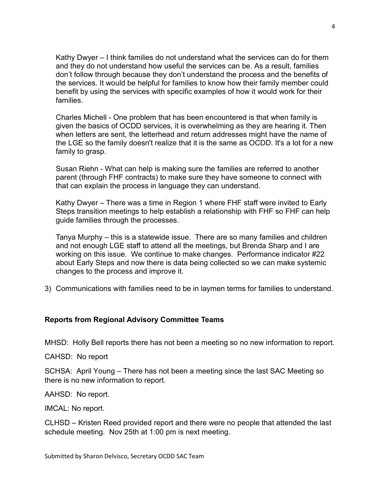Kathy Dwyer – I think families do not understand what the services can do for them and they do not understand how useful the services can be. As a result, families don't follow through because they don't understand the process and the benefits of the services. It would be helpful for families to know how their family member could benefit by using the services with specific examples of how it would work for their families.

Charles Michell - One problem that has been encountered is that when family is given the basics of OCDD services, it is overwhelming as they are hearing it. Then when letters are sent, the letterhead and return addresses might have the name of the LGE so the family doesn't realize that it is the same as OCDD. It's a lot for a new family to grasp.

Susan Riehn - What can help is making sure the families are referred to another parent (through FHF contracts) to make sure they have someone to connect with that can explain the process in language they can understand.

Kathy Dwyer – There was a time in Region 1 where FHF staff were invited to Early Steps transition meetings to help establish a relationship with FHF so FHF can help guide families through the processes.

Tanya Murphy – this is a statewide issue. There are so many families and children and not enough LGE staff to attend all the meetings, but Brenda Sharp and I are working on this issue. We continue to make changes. Performance indicator #22 about Early Steps and now there is data being collected so we can make systemic changes to the process and improve it.

3) Communications with families need to be in laymen terms for families to understand.

# Reports from Regional Advisory Committee Teams

MHSD: Holly Bell reports there has not been a meeting so no new information to report.

CAHSD: No report

SCHSA: April Young – There has not been a meeting since the last SAC Meeting so there is no new information to report.

AAHSD: No report.

IMCAL: No report.

CLHSD – Kristen Reed provided report and there were no people that attended the last schedule meeting. Nov 25th at 1:00 pm is next meeting.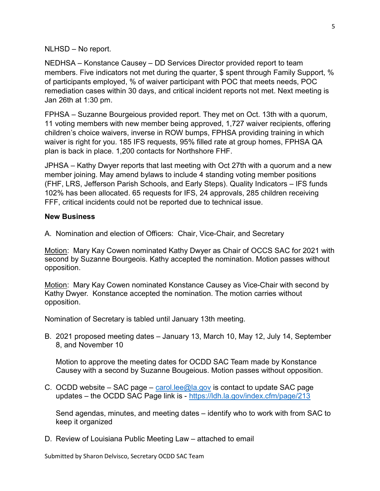NLHSD – No report.

NEDHSA – Konstance Causey – DD Services Director provided report to team members. Five indicators not met during the quarter, \$ spent through Family Support, % of participants employed, % of waiver participant with POC that meets needs, POC remediation cases within 30 days, and critical incident reports not met. Next meeting is Jan 26th at 1:30 pm.

FPHSA – Suzanne Bourgeious provided report. They met on Oct. 13th with a quorum, 11 voting members with new member being approved, 1,727 waiver recipients, offering children's choice waivers, inverse in ROW bumps, FPHSA providing training in which waiver is right for you. 185 IFS requests, 95% filled rate at group homes, FPHSA QA plan is back in place. 1,200 contacts for Northshore FHF.

JPHSA – Kathy Dwyer reports that last meeting with Oct 27th with a quorum and a new member joining. May amend bylaws to include 4 standing voting member positions (FHF, LRS, Jefferson Parish Schools, and Early Steps). Quality Indicators – IFS funds 102% has been allocated. 65 requests for IFS, 24 approvals, 285 children receiving FFF, critical incidents could not be reported due to technical issue.

## New Business

A. Nomination and election of Officers: Chair, Vice-Chair, and Secretary

Motion: Mary Kay Cowen nominated Kathy Dwyer as Chair of OCCS SAC for 2021 with second by Suzanne Bourgeois. Kathy accepted the nomination. Motion passes without opposition.

Motion: Mary Kay Cowen nominated Konstance Causey as Vice-Chair with second by Kathy Dwyer. Konstance accepted the nomination. The motion carries without opposition.

Nomination of Secretary is tabled until January 13th meeting.

B. 2021 proposed meeting dates – January 13, March 10, May 12, July 14, September 8, and November 10

Motion to approve the meeting dates for OCDD SAC Team made by Konstance Causey with a second by Suzanne Bougeious. Motion passes without opposition.

C. OCDD website – SAC page – carol.lee@la.gov is contact to update SAC page updates – the OCDD SAC Page link is - https://ldh.la.gov/index.cfm/page/213

Send agendas, minutes, and meeting dates – identify who to work with from SAC to keep it organized

D. Review of Louisiana Public Meeting Law – attached to email

Submitted by Sharon Delvisco, Secretary OCDD SAC Team